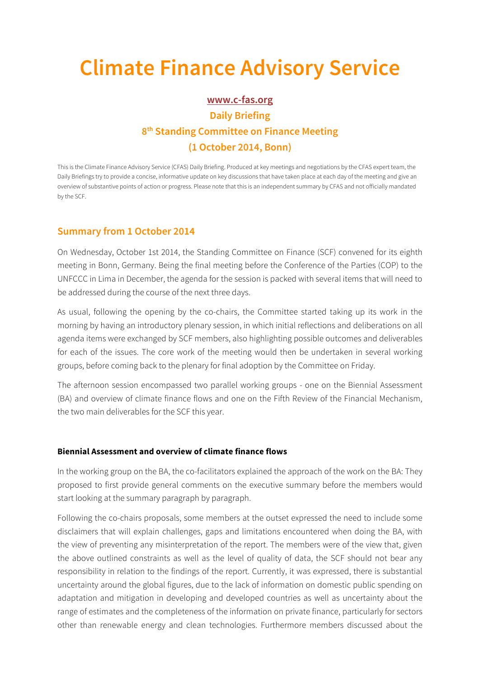# **Climate Finance Advisory Service**

## **www.c-fas.org Daily Briefing 8th Standing Committee on Finance Meeting (1 October 2014, Bonn)**

This is the Climate Finance Advisory Service (CFAS) Daily Briefing. Produced at key meetings and negotiations by the CFAS expert team, the Daily Briefings try to provide a concise, informative update on key discussions that have taken place at each day of the meeting and give an overview of substantive points of action or progress. Please note that this is an independent summary by CFAS and not officially mandated by the SCF.

## **Summary from 1 October 2014**

On Wednesday, October 1st 2014, the Standing Committee on Finance (SCF) convened for its eighth meeting in Bonn, Germany. Being the final meeting before the Conference of the Parties (COP) to the UNFCCC in Lima in December, the agenda for the session is packed with several items that will need to be addressed during the course of the next three days.

As usual, following the opening by the co-chairs, the Committee started taking up its work in the morning by having an introductory plenary session, in which initial reflections and deliberations on all agenda items were exchanged by SCF members, also highlighting possible outcomes and deliverables for each of the issues. The core work of the meeting would then be undertaken in several working groups, before coming back to the plenary for final adoption by the Committee on Friday.

The afternoon session encompassed two parallel working groups - one on the Biennial Assessment (BA) and overview of climate finance flows and one on the Fifth Review of the Financial Mechanism, the two main deliverables for the SCF this year.

### **Biennial Assessment and overview of climate finance flows**

In the working group on the BA, the co-facilitators explained the approach of the work on the BA: They proposed to first provide general comments on the executive summary before the members would start looking at the summary paragraph by paragraph.

Following the co-chairs proposals, some members at the outset expressed the need to include some disclaimers that will explain challenges, gaps and limitations encountered when doing the BA, with the view of preventing any misinterpretation of the report. The members were of the view that, given the above outlined constraints as well as the level of quality of data, the SCF should not bear any responsibility in relation to the findings of the report. Currently, it was expressed, there is substantial uncertainty around the global figures, due to the lack of information on domestic public spending on adaptation and mitigation in developing and developed countries as well as uncertainty about the range of estimates and the completeness of the information on private finance, particularly for sectors other than renewable energy and clean technologies. Furthermore members discussed about the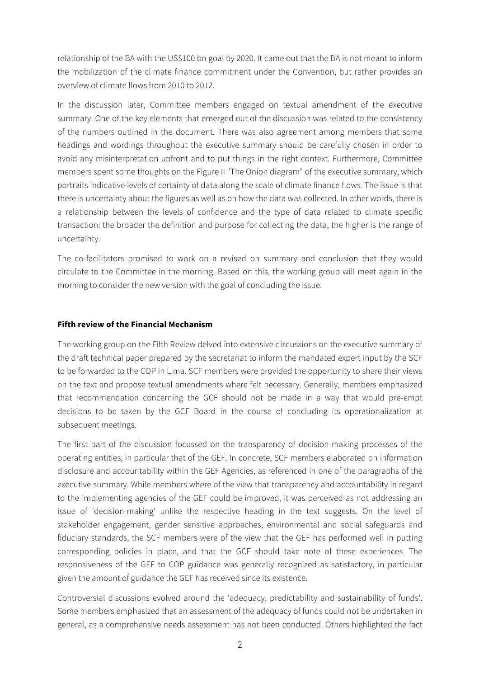relationship of the BA with the US\$100 bn goal by 2020. It came out that the BA is not meant to inform the mobilization of the climate finance commitment under the Convention, but rather provides an overview of climate flows from 2010 to 2012.

In the discussion later, Committee members engaged on textual amendment of the executive summary. One of the key elements that emerged out of the discussion was related to the consistency of the numbers outlined in the document. There was also agreement among members that some headings and wordings throughout the executive summary should be carefully chosen in order to avoid any misinterpretation upfront and to put things in the right context. Furthermore, Committee members spent some thoughts on the Figure II "The Onion diagram" of the executive summary, which portraits indicative levels of certainty of data along the scale of climate finance flows. The issue is that there is uncertainty about the figures as well as on how the data was collected. In other words, there is a relationship between the levels of confidence and the type of data related to climate specific transaction: the broader the definition and purpose for collecting the data, the higher is the range of uncertainty.

The co-facilitators promised to work on a revised on summary and conclusion that they would circulate to the Committee in the morning. Based on this, the working group will meet again in the morning to consider the new version with the goal of concluding the issue.

### **Fifth review of the Financial Mechanism**

The working group on the Fifth Review delved into extensive discussions on the executive summary of the draft technical paper prepared by the secretariat to inform the mandated expert input by the SCF to be forwarded to the COP in Lima. SCF members were provided the opportunity to share their views on the text and propose textual amendments where felt necessary. Generally, members emphasized that recommendation concerning the GCF should not be made in a way that would pre-empt decisions to be taken by the GCF Board in the course of concluding its operationalization at subsequent meetings.

The first part of the discussion focussed on the transparency of decision-making processes of the operating entities, in particular that of the GEF. In concrete, SCF members elaborated on information disclosure and accountability within the GEF Agencies, as referenced in one of the paragraphs of the executive summary. While members where of the view that transparency and accountability in regard to the implementing agencies of the GEF could be improved, it was perceived as not addressing an issue of 'decision-making' unlike the respective heading in the text suggests. On the level of stakeholder engagement, gender sensitive approaches, environmental and social safeguards and fiduciary standards, the SCF members were of the view that the GEF has performed well in putting corresponding policies in place, and that the GCF should take note of these experiences. The responsiveness of the GEF to COP guidance was generally recognized as satisfactory, in particular given the amount of guidance the GEF has received since its existence.

Controversial discussions evolved around the 'adequacy, predictability and sustainability of funds'. Some members emphasized that an assessment of the adequacy of funds could not be undertaken in general, as a comprehensive needs assessment has not been conducted. Others highlighted the fact